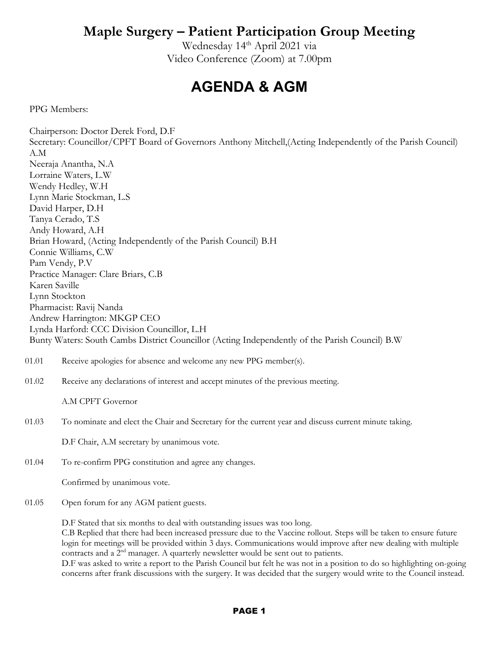Wednesday 14<sup>th</sup> April 2021 via Video Conference (Zoom) at 7.00pm

## **AGENDA & AGM**

PPG Members:

Chairperson: Doctor Derek Ford, D.F Secretary: Councillor/CPFT Board of Governors Anthony Mitchell,(Acting Independently of the Parish Council) A.M Neeraja Anantha, N.A Lorraine Waters, L.W Wendy Hedley, W.H Lynn Marie Stockman, L.S David Harper, D.H Tanya Cerado, T.S Andy Howard, A.H Brian Howard, (Acting Independently of the Parish Council) B.H Connie Williams, C.W Pam Vendy, P.V Practice Manager: Clare Briars, C.B Karen Saville Lynn Stockton Pharmacist: Ravij Nanda Andrew Harrington: MKGP CEO Lynda Harford: CCC Division Councillor, L.H Bunty Waters: South Cambs District Councillor (Acting Independently of the Parish Council) B.W 01.01 01.02 Receive apologies for absence and welcome any new PPG member(s). Receive any declarations of interest and accept minutes of the previous meeting.

A.M CPFT Governor

01.03 To nominate and elect the Chair and Secretary for the current year and discuss current minute taking.

D.F Chair, A.M secretary by unanimous vote.

01.04 To re-confirm PPG constitution and agree any changes.

Confirmed by unanimous vote.

01.05 Open forum for any AGM patient guests.

D.F Stated that six months to deal with outstanding issues was too long.

C.B Replied that there had been increased pressure due to the Vaccine rollout. Steps will be taken to ensure future login for meetings will be provided within 3 days. Communications would improve after new dealing with multiple contracts and a 2nd manager. A quarterly newsletter would be sent out to patients.

D.F was asked to write a report to the Parish Council but felt he was not in a position to do so highlighting on-going concerns after frank discussions with the surgery. It was decided that the surgery would write to the Council instead.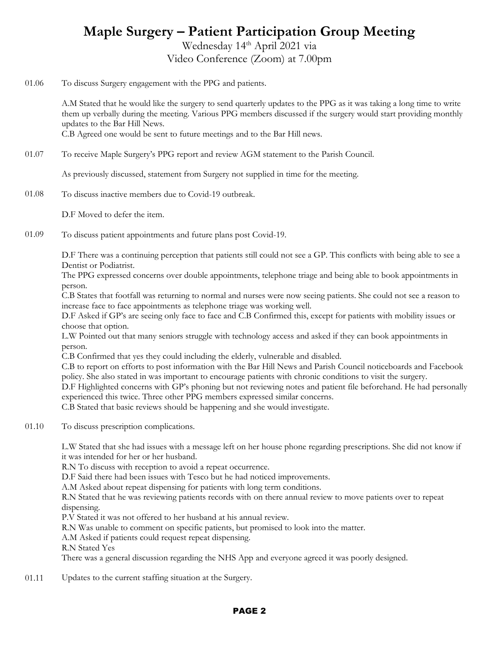Wednesday 14<sup>th</sup> April 2021 via Video Conference (Zoom) at 7.00pm

01.06 To discuss Surgery engagement with the PPG and patients.

> A.M Stated that he would like the surgery to send quarterly updates to the PPG as it was taking a long time to write them up verbally during the meeting. Various PPG members discussed if the surgery would start providing monthly updates to the Bar Hill News.

C.B Agreed one would be sent to future meetings and to the Bar Hill news.

01.07 To receive Maple Surgery's PPG report and review AGM statement to the Parish Council.

As previously discussed, statement from Surgery not supplied in time for the meeting.

01.08 To discuss inactive members due to Covid-19 outbreak.

D.F Moved to defer the item.

01.09 To discuss patient appointments and future plans post Covid-19.

> D.F There was a continuing perception that patients still could not see a GP. This conflicts with being able to see a Dentist or Podiatrist.

> The PPG expressed concerns over double appointments, telephone triage and being able to book appointments in person.

> C.B States that footfall was returning to normal and nurses were now seeing patients. She could not see a reason to increase face to face appointments as telephone triage was working well.

> D.F Asked if GP's are seeing only face to face and C.B Confirmed this, except for patients with mobility issues or choose that option.

L.W Pointed out that many seniors struggle with technology access and asked if they can book appointments in person.

C.B Confirmed that yes they could including the elderly, vulnerable and disabled.

C.B to report on efforts to post information with the Bar Hill News and Parish Council noticeboards and Facebook policy. She also stated in was important to encourage patients with chronic conditions to visit the surgery.

D.F Highlighted concerns with GP's phoning but not reviewing notes and patient file beforehand. He had personally experienced this twice. Three other PPG members expressed similar concerns.

C.B Stated that basic reviews should be happening and she would investigate.

01.10 To discuss prescription complications.

> L.W Stated that she had issues with a message left on her house phone regarding prescriptions. She did not know if it was intended for her or her husband.

R.N To discuss with reception to avoid a repeat occurrence.

D.F Said there had been issues with Tesco but he had noticed improvements.

A.M Asked about repeat dispensing for patients with long term conditions.

R.N Stated that he was reviewing patients records with on there annual review to move patients over to repeat dispensing.

P.V Stated it was not offered to her husband at his annual review.

R.N Was unable to comment on specific patients, but promised to look into the matter.

A.M Asked if patients could request repeat dispensing.

R.N Stated Yes

There was a general discussion regarding the NHS App and everyone agreed it was poorly designed.

01.11 Updates to the current staffing situation at the Surgery.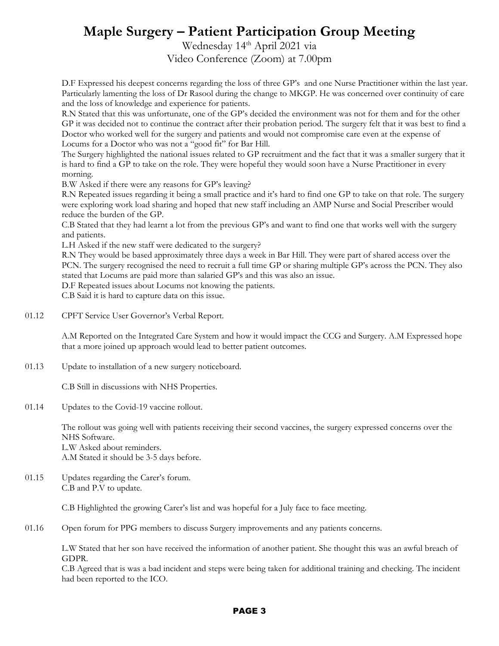Wednesday 14<sup>th</sup> April 2021 via Video Conference (Zoom) at 7.00pm

D.F Expressed his deepest concerns regarding the loss of three GP's and one Nurse Practitioner within the last year. Particularly lamenting the loss of Dr Rasool during the change to MKGP. He was concerned over continuity of care and the loss of knowledge and experience for patients.

R.N Stated that this was unfortunate, one of the GP's decided the environment was not for them and for the other GP it was decided not to continue the contract after their probation period. The surgery felt that it was best to find a Doctor who worked well for the surgery and patients and would not compromise care even at the expense of Locums for a Doctor who was not a "good fit" for Bar Hill.

The Surgery highlighted the national issues related to GP recruitment and the fact that it was a smaller surgery that it is hard to find a GP to take on the role. They were hopeful they would soon have a Nurse Practitioner in every morning.

B.W Asked if there were any reasons for GP's leaving?

R.N Repeated issues regarding it being a small practice and it's hard to find one GP to take on that role. The surgery were exploring work load sharing and hoped that new staff including an AMP Nurse and Social Prescriber would reduce the burden of the GP.

C.B Stated that they had learnt a lot from the previous GP's and want to find one that works well with the surgery and patients.

L.H Asked if the new staff were dedicated to the surgery?

R.N They would be based approximately three days a week in Bar Hill. They were part of shared access over the PCN. The surgery recognised the need to recruit a full time GP or sharing multiple GP's across the PCN. They also stated that Locums are paid more than salaried GP's and this was also an issue.

D.F Repeated issues about Locums not knowing the patients.

C.B Said it is hard to capture data on this issue.

01.12 CPFT Service User Governor's Verbal Report.

> A.M Reported on the Integrated Care System and how it would impact the CCG and Surgery. A.M Expressed hope that a more joined up approach would lead to better patient outcomes.

01.13 Update to installation of a new surgery noticeboard.

C.B Still in discussions with NHS Properties.

01.14 Updates to the Covid-19 vaccine rollout.

> The rollout was going well with patients receiving their second vaccines, the surgery expressed concerns over the NHS Software.

L.W Asked about reminders. A.M Stated it should be 3-5 days before.

01.15 Updates regarding the Carer's forum. C.B and P.V to update.

C.B Highlighted the growing Carer's list and was hopeful for a July face to face meeting.

01.16 Open forum for PPG members to discuss Surgery improvements and any patients concerns.

> L.W Stated that her son have received the information of another patient. She thought this was an awful breach of GDPR.

> C.B Agreed that is was a bad incident and steps were being taken for additional training and checking. The incident had been reported to the ICO.